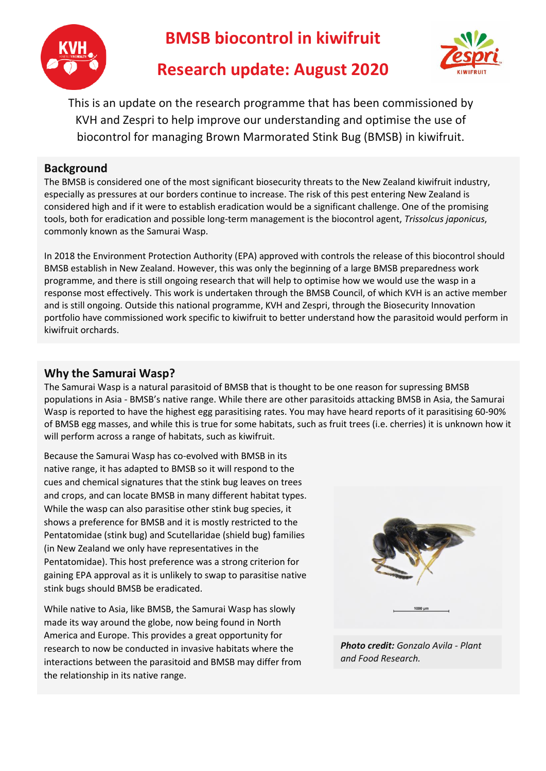

**BMSB biocontrol in kiwifruit**



# **Research update: August 2020**

This is an update on the research programme that has been commissioned by KVH and Zespri to help improve our understanding and optimise the use of biocontrol for managing Brown Marmorated Stink Bug (BMSB) in kiwifruit.

# **Background**

The BMSB is considered one of the most significant biosecurity threats to the New Zealand kiwifruit industry, especially as pressures at our borders continue to increase. The risk of this pest entering New Zealand is considered high and if it were to establish eradication would be a significant challenge. One of the promising tools, both for eradication and possible long-term management is the biocontrol agent, *Trissolcus japonicus*, commonly known as the Samurai Wasp.

In 2018 the Environment Protection Authority (EPA) approved with controls the release of this biocontrol should BMSB establish in New Zealand. However, this was only the beginning of a large BMSB preparedness work programme, and there is still ongoing research that will help to optimise how we would use the wasp in a response most effectively. This work is undertaken through the BMSB Council, of which KVH is an active member and is still ongoing. Outside this national programme, KVH and Zespri, through the Biosecurity Innovation portfolio have commissioned work specific to kiwifruit to better understand how the parasitoid would perform in kiwifruit orchards.

## **Why the Samurai Wasp?**

The Samurai Wasp is a natural parasitoid of BMSB that is thought to be one reason for supressing BMSB populations in Asia - BMSB's native range. While there are other parasitoids attacking BMSB in Asia, the Samurai Wasp is reported to have the highest egg parasitising rates. You may have heard reports of it parasitising 60-90% of BMSB egg masses, and while this is true for some habitats, such as fruit trees (i.e. cherries) it is unknown how it will perform across a range of habitats, such as kiwifruit.

Because the Samurai Wasp has co-evolved with BMSB in its native range, it has adapted to BMSB so it will respond to the cues and chemical signatures that the stink bug leaves on trees and crops, and can locate BMSB in many different habitat types. While the wasp can also parasitise other stink bug species, it shows a preference for BMSB and it is mostly restricted to the Pentatomidae (stink bug) and Scutellaridae (shield bug) families (in New Zealand we only have representatives in the Pentatomidae). This host preference was a strong criterion for gaining EPA approval as it is unlikely to swap to parasitise native stink bugs should BMSB be eradicated.

While native to Asia, like BMSB, the Samurai Wasp has slowly made its way around the globe, now being found in North America and Europe. This provides a great opportunity for research to now be conducted in invasive habitats where the interactions between the parasitoid and BMSB may differ from the relationship in its native range.



*Photo credit: Gonzalo Avila - Plant and Food Research.*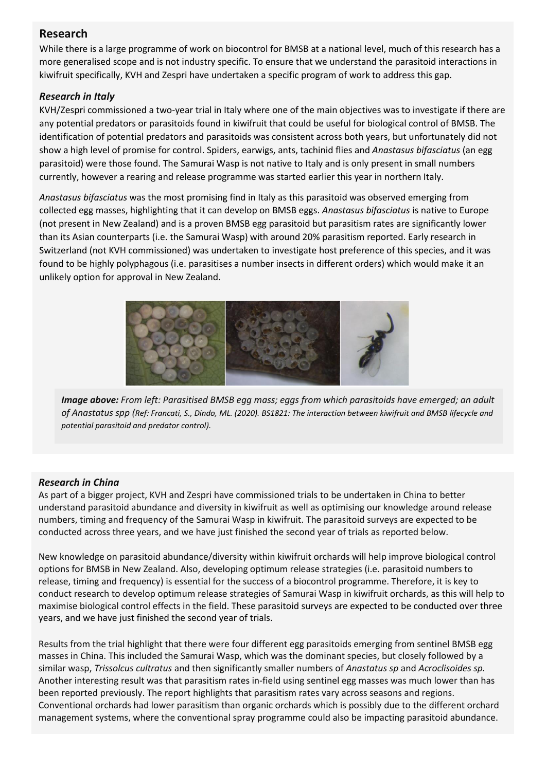## **Research**

While there is a large programme of work on biocontrol for BMSB at a national level, much of this research has a more generalised scope and is not industry specific. To ensure that we understand the parasitoid interactions in kiwifruit specifically, KVH and Zespri have undertaken a specific program of work to address this gap.

#### *Research in Italy*

KVH/Zespri commissioned a two-year trial in Italy where one of the main objectives was to investigate if there are any potential predators or parasitoids found in kiwifruit that could be useful for biological control of BMSB. The identification of potential predators and parasitoids was consistent across both years, but unfortunately did not show a high level of promise for control. Spiders, earwigs, ants, tachinid flies and *Anastasus bifasciatus* (an egg parasitoid) were those found. The Samurai Wasp is not native to Italy and is only present in small numbers currently, however a rearing and release programme was started earlier this year in northern Italy.

 *Anastasus bifasciatus* was the most promising find in Italy as this parasitoid was observed emerging from collected egg masses, highlighting that it can develop on BMSB eggs. *Anastasus bifasciatus* is native to Europe (not present in New Zealand) and is a proven BMSB egg parasitoid but parasitism rates are significantly lower than its Asian counterparts (i.e. the Samurai Wasp) with around 20% parasitism reported. Early research in Switzerland (not KVH commissioned) was undertaken to investigate host preference of this species, and it was found to be highly polyphagous (i.e. parasitises a number insects in different orders) which would make it an unlikely option for approval in New Zealand.



*Image above: From left: Parasitised BMSB egg mass; eggs from which parasitoids have emerged; an adult of Anastatus spp (Ref: Francati, S., Dindo, ML. (2020). BS1821: The interaction between kiwifruit and BMSB lifecycle and potential parasitoid and predator control).* 

#### *Research in China*

As part of a bigger project, KVH and Zespri have commissioned trials to be undertaken in China to better understand parasitoid abundance and diversity in kiwifruit as well as optimising our knowledge around release numbers, timing and frequency of the Samurai Wasp in kiwifruit. The parasitoid surveys are expected to be conducted across three years, and we have just finished the second year of trials as reported below.

New knowledge on parasitoid abundance/diversity within kiwifruit orchards will help improve biological control options for BMSB in New Zealand. Also, developing optimum release strategies (i.e. parasitoid numbers to release, timing and frequency) is essential for the success of a biocontrol programme. Therefore, it is key to conduct research to develop optimum release strategies of Samurai Wasp in kiwifruit orchards, as this will help to maximise biological control effects in the field. These parasitoid surveys are expected to be conducted over three years, and we have just finished the second year of trials.

Results from the trial highlight that there were four different egg parasitoids emerging from sentinel BMSB egg masses in China. This included the Samurai Wasp, which was the dominant species, but closely followed by a similar wasp, *Trissolcus cultratus* and then significantly smaller numbers of *Anastatus sp* and *Acroclisoides sp.*  Another interesting result was that parasitism rates in-field using sentinel egg masses was much lower than has been reported previously. The report highlights that parasitism rates vary across seasons and regions. Conventional orchards had lower parasitism than organic orchards which is possibly due to the different orchard management systems, where the conventional spray programme could also be impacting parasitoid abundance.